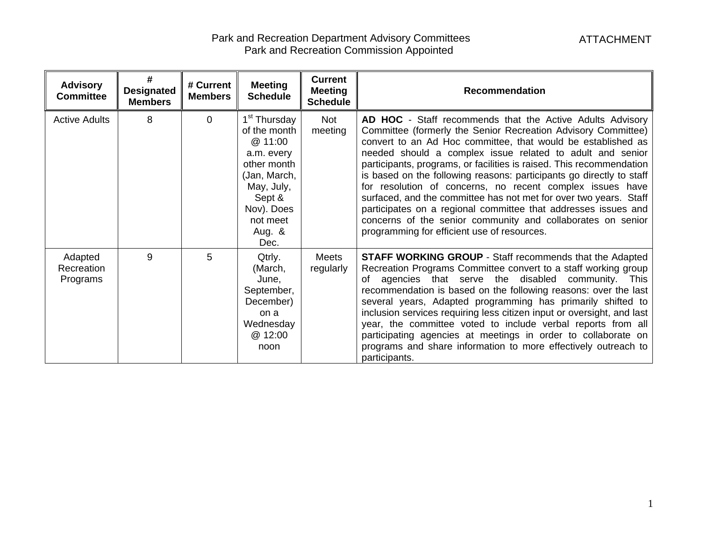| <b>Advisory</b><br><b>Committee</b> | #<br><b>Designated</b><br><b>Members</b> | # Current<br><b>Members</b> | <b>Meeting</b><br><b>Schedule</b>                                                                                                                                       | <b>Current</b><br><b>Meeting</b><br><b>Schedule</b> | Recommendation                                                                                                                                                                                                                                                                                                                                                                                                                                                                                                                                                                                                                                                                                                            |
|-------------------------------------|------------------------------------------|-----------------------------|-------------------------------------------------------------------------------------------------------------------------------------------------------------------------|-----------------------------------------------------|---------------------------------------------------------------------------------------------------------------------------------------------------------------------------------------------------------------------------------------------------------------------------------------------------------------------------------------------------------------------------------------------------------------------------------------------------------------------------------------------------------------------------------------------------------------------------------------------------------------------------------------------------------------------------------------------------------------------------|
| <b>Active Adults</b>                | 8                                        | $\Omega$                    | 1 <sup>st</sup> Thursday<br>of the month<br>@ 11:00<br>a.m. every<br>other month<br>(Jan, March,<br>May, July,<br>Sept &<br>Nov). Does<br>not meet<br>Aug. $\&$<br>Dec. | Not<br>meeting                                      | AD HOC - Staff recommends that the Active Adults Advisory<br>Committee (formerly the Senior Recreation Advisory Committee)<br>convert to an Ad Hoc committee, that would be established as<br>needed should a complex issue related to adult and senior<br>participants, programs, or facilities is raised. This recommendation<br>is based on the following reasons: participants go directly to staff<br>for resolution of concerns, no recent complex issues have<br>surfaced, and the committee has not met for over two years. Staff<br>participates on a regional committee that addresses issues and<br>concerns of the senior community and collaborates on senior<br>programming for efficient use of resources. |
| Adapted<br>Recreation<br>Programs   | 9                                        | 5                           | Qtrly.<br>(March,<br>June,<br>September,<br>December)<br>on a<br>Wednesday<br>@ 12:00<br>noon                                                                           | <b>Meets</b><br>regularly                           | <b>STAFF WORKING GROUP</b> - Staff recommends that the Adapted<br>Recreation Programs Committee convert to a staff working group<br>of agencies that serve the disabled community. This<br>recommendation is based on the following reasons: over the last<br>several years, Adapted programming has primarily shifted to<br>inclusion services requiring less citizen input or oversight, and last<br>year, the committee voted to include verbal reports from all<br>participating agencies at meetings in order to collaborate on<br>programs and share information to more effectively outreach to<br>participants.                                                                                                   |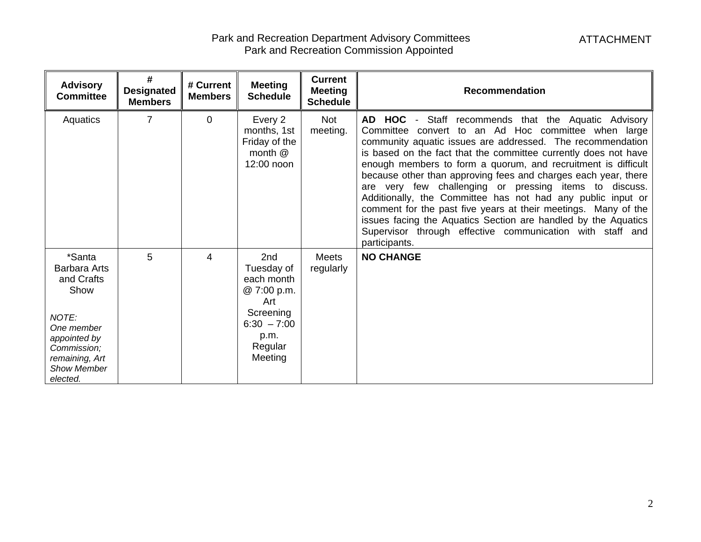| <b>Advisory</b><br><b>Committee</b>                                                                                                                           | #<br><b>Designated</b><br><b>Members</b> | # Current<br><b>Members</b> | <b>Meeting</b><br><b>Schedule</b>                                                                                 | <b>Current</b><br><b>Meeting</b><br><b>Schedule</b> | <b>Recommendation</b>                                                                                                                                                                                                                                                                                                                                                                                                                                                                                                                                                                                                                                                                                                     |
|---------------------------------------------------------------------------------------------------------------------------------------------------------------|------------------------------------------|-----------------------------|-------------------------------------------------------------------------------------------------------------------|-----------------------------------------------------|---------------------------------------------------------------------------------------------------------------------------------------------------------------------------------------------------------------------------------------------------------------------------------------------------------------------------------------------------------------------------------------------------------------------------------------------------------------------------------------------------------------------------------------------------------------------------------------------------------------------------------------------------------------------------------------------------------------------------|
| Aquatics                                                                                                                                                      | 7                                        | $\mathbf 0$                 | Every 2<br>months, 1st<br>Friday of the<br>month $@$<br>12:00 noon                                                | <b>Not</b><br>meeting.                              | AD HOC - Staff recommends that the Aquatic Advisory<br>Committee convert to an Ad Hoc committee when large<br>community aquatic issues are addressed. The recommendation<br>is based on the fact that the committee currently does not have<br>enough members to form a quorum, and recruitment is difficult<br>because other than approving fees and charges each year, there<br>are very few challenging or pressing items to discuss.<br>Additionally, the Committee has not had any public input or<br>comment for the past five years at their meetings. Many of the<br>issues facing the Aquatics Section are handled by the Aquatics<br>Supervisor through effective communication with staff and<br>participants. |
| *Santa<br><b>Barbara Arts</b><br>and Crafts<br>Show<br>NOTE:<br>One member<br>appointed by<br>Commission;<br>remaining, Art<br><b>Show Member</b><br>elected. | 5                                        | 4                           | 2nd<br>Tuesday of<br>each month<br>@ 7:00 p.m.<br>Art<br>Screening<br>$6:30 - 7:00$<br>p.m.<br>Regular<br>Meeting | <b>Meets</b><br>regularly                           | <b>NO CHANGE</b>                                                                                                                                                                                                                                                                                                                                                                                                                                                                                                                                                                                                                                                                                                          |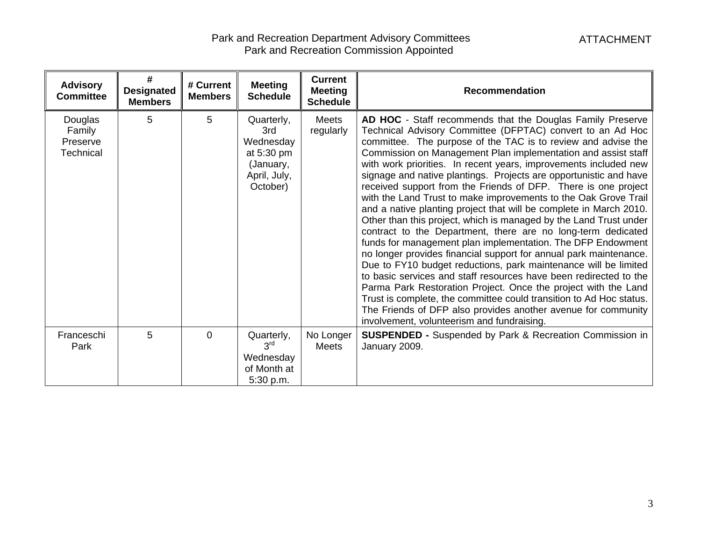| <b>Advisory</b><br><b>Committee</b>               | #<br><b>Designated</b><br><b>Members</b> | # Current<br><b>Members</b> | <b>Meeting</b><br><b>Schedule</b>                                                     | <b>Current</b><br><b>Meeting</b><br><b>Schedule</b> | <b>Recommendation</b>                                                                                                                                                                                                                                                                                                                                                                                                                                                                                                                                                                                                                                                                                                                                                                                                                                                                                                                                                                                                                                                                                                                                                                                                                                                                   |
|---------------------------------------------------|------------------------------------------|-----------------------------|---------------------------------------------------------------------------------------|-----------------------------------------------------|-----------------------------------------------------------------------------------------------------------------------------------------------------------------------------------------------------------------------------------------------------------------------------------------------------------------------------------------------------------------------------------------------------------------------------------------------------------------------------------------------------------------------------------------------------------------------------------------------------------------------------------------------------------------------------------------------------------------------------------------------------------------------------------------------------------------------------------------------------------------------------------------------------------------------------------------------------------------------------------------------------------------------------------------------------------------------------------------------------------------------------------------------------------------------------------------------------------------------------------------------------------------------------------------|
| Douglas<br>Family<br>Preserve<br><b>Technical</b> | 5                                        | 5                           | Quarterly,<br>3rd<br>Wednesday<br>at 5:30 pm<br>(January,<br>April, July,<br>October) | Meets<br>regularly                                  | AD HOC - Staff recommends that the Douglas Family Preserve<br>Technical Advisory Committee (DFPTAC) convert to an Ad Hoc<br>committee. The purpose of the TAC is to review and advise the<br>Commission on Management Plan implementation and assist staff<br>with work priorities. In recent years, improvements included new<br>signage and native plantings. Projects are opportunistic and have<br>received support from the Friends of DFP. There is one project<br>with the Land Trust to make improvements to the Oak Grove Trail<br>and a native planting project that will be complete in March 2010.<br>Other than this project, which is managed by the Land Trust under<br>contract to the Department, there are no long-term dedicated<br>funds for management plan implementation. The DFP Endowment<br>no longer provides financial support for annual park maintenance.<br>Due to FY10 budget reductions, park maintenance will be limited<br>to basic services and staff resources have been redirected to the<br>Parma Park Restoration Project. Once the project with the Land<br>Trust is complete, the committee could transition to Ad Hoc status.<br>The Friends of DFP also provides another avenue for community<br>involvement, volunteerism and fundraising. |
| Franceschi<br>Park                                | 5                                        | $\mathbf{0}$                | Quarterly,<br>3 <sup>rd</sup><br>Wednesday<br>of Month at<br>5:30 p.m.                | No Longer<br>Meets                                  | <b>SUSPENDED - Suspended by Park &amp; Recreation Commission in</b><br>January 2009.                                                                                                                                                                                                                                                                                                                                                                                                                                                                                                                                                                                                                                                                                                                                                                                                                                                                                                                                                                                                                                                                                                                                                                                                    |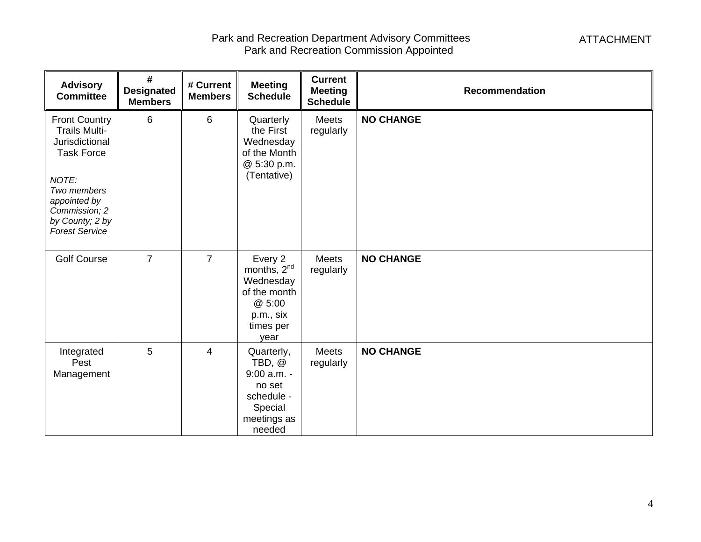| <b>Advisory</b><br><b>Committee</b>                                                                                                                                                      | #<br><b>Designated</b><br><b>Members</b> | # Current<br><b>Members</b> | <b>Meeting</b><br><b>Schedule</b>                                                                           | <b>Current</b><br><b>Meeting</b><br><b>Schedule</b> | <b>Recommendation</b> |
|------------------------------------------------------------------------------------------------------------------------------------------------------------------------------------------|------------------------------------------|-----------------------------|-------------------------------------------------------------------------------------------------------------|-----------------------------------------------------|-----------------------|
| <b>Front Country</b><br><b>Trails Multi-</b><br>Jurisdictional<br><b>Task Force</b><br>NOTE:<br>Two members<br>appointed by<br>Commission; 2<br>by County; 2 by<br><b>Forest Service</b> | 6                                        | 6                           | Quarterly<br>the First<br>Wednesday<br>of the Month<br>@ 5:30 p.m.<br>(Tentative)                           | Meets<br>regularly                                  | <b>NO CHANGE</b>      |
| <b>Golf Course</b>                                                                                                                                                                       | $\overline{7}$                           | $\overline{7}$              | Every 2<br>months, 2 <sup>nd</sup><br>Wednesday<br>of the month<br>@ 5:00<br>p.m., six<br>times per<br>year | <b>Meets</b><br>regularly                           | <b>NO CHANGE</b>      |
| Integrated<br>Pest<br>Management                                                                                                                                                         | $5\phantom{.0}$                          | 4                           | Quarterly,<br>TBD, @<br>$9:00$ a.m. -<br>no set<br>schedule -<br>Special<br>meetings as<br>needed           | Meets<br>regularly                                  | <b>NO CHANGE</b>      |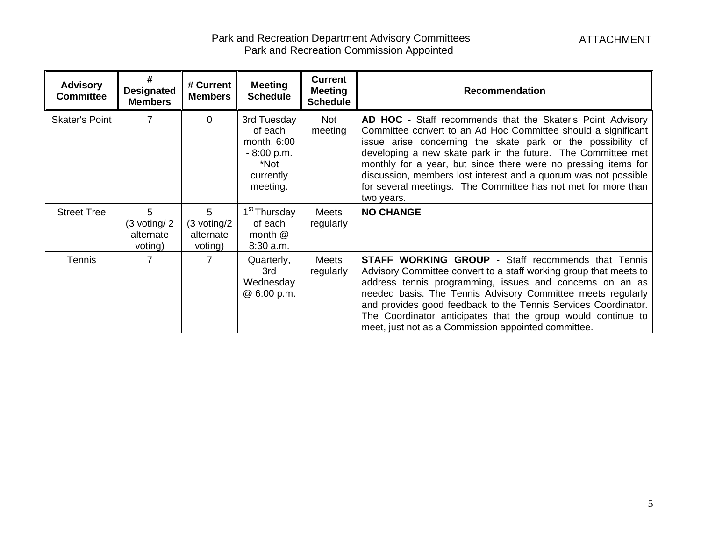| <b>Advisory</b><br><b>Committee</b> | #<br><b>Designated</b><br><b>Members</b>             | # Current<br><b>Members</b>                          | <b>Meeting</b><br><b>Schedule</b>                                                      | <b>Current</b><br><b>Meeting</b><br><b>Schedule</b> | <b>Recommendation</b>                                                                                                                                                                                                                                                                                                                                                                                                                                                          |
|-------------------------------------|------------------------------------------------------|------------------------------------------------------|----------------------------------------------------------------------------------------|-----------------------------------------------------|--------------------------------------------------------------------------------------------------------------------------------------------------------------------------------------------------------------------------------------------------------------------------------------------------------------------------------------------------------------------------------------------------------------------------------------------------------------------------------|
| <b>Skater's Point</b>               |                                                      | $\Omega$                                             | 3rd Tuesday<br>of each<br>month, 6:00<br>$-8:00 p.m.$<br>*Not<br>currently<br>meeting. | <b>Not</b><br>meeting                               | AD HOC - Staff recommends that the Skater's Point Advisory<br>Committee convert to an Ad Hoc Committee should a significant<br>issue arise concerning the skate park or the possibility of<br>developing a new skate park in the future. The Committee met<br>monthly for a year, but since there were no pressing items for<br>discussion, members lost interest and a quorum was not possible<br>for several meetings. The Committee has not met for more than<br>two years. |
| <b>Street Tree</b>                  | 5<br>$(3 \text{ voting}/ 2)$<br>alternate<br>voting) | 5<br>$(3 \,\text{voting}/2)$<br>alternate<br>voting) | 1 <sup>st</sup> Thursday<br>of each<br>month $@$<br>8:30 a.m.                          | <b>Meets</b><br>regularly                           | <b>NO CHANGE</b>                                                                                                                                                                                                                                                                                                                                                                                                                                                               |
| Tennis                              |                                                      | 7                                                    | Quarterly,<br>3rd<br>Wednesday<br>@ 6:00 p.m.                                          | <b>Meets</b><br>regularly                           | <b>STAFF WORKING GROUP - Staff recommends that Tennis</b><br>Advisory Committee convert to a staff working group that meets to<br>address tennis programming, issues and concerns on an as<br>needed basis. The Tennis Advisory Committee meets regularly<br>and provides good feedback to the Tennis Services Coordinator.<br>The Coordinator anticipates that the group would continue to<br>meet, just not as a Commission appointed committee.                             |